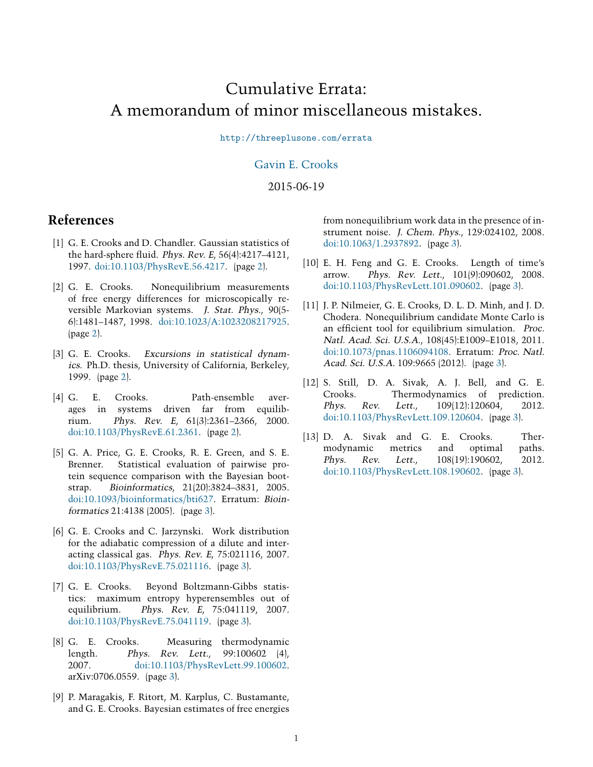# Cumulative Errata: A memorandum of minor miscellaneous mistakes.

<http://threeplusone.com/errata>

#### [Gavin E. Crooks](http://threeplusone.com/)

#### 2015-06-19

#### **References**

- <span id="page-0-0"></span>[1] G. E. Crooks and D. Chandler. Gaussian statistics of the hard-sphere fluid. Phys. Rev. E, 56(4):4217-4121, 1997. [doi:10.1103/PhysRevE.56.4217](http://dx.doi.org/10.1103/PhysRevE.56.4217). (page [2](#page-1-0)).
- <span id="page-0-1"></span>[2] G. E. Crooks. Nonequilibrium measurements of free energy differences for microscopically reversible Markovian systems. J. Stat. Phys., 90(5- 6):1481–1487, 1998. [doi:10.1023/A:1023208217925](http://dx.doi.org/10.1023/A:1023208217925). (page [2](#page-1-0)).
- <span id="page-0-2"></span>[3] G. E. Crooks. Excursions in statistical dynamics. Ph.D. thesis, University of California, Berkeley, 1999. (page [2](#page-1-0)).
- <span id="page-0-3"></span>[4] G. E. Crooks. Path-ensemble averages in systems driven far from equilibrium. Phys. Rev. <sup>E</sup>, 61(3):2361–2366, 2000. [doi:10.1103/PhysRevE.61.2361](http://dx.doi.org/10.1103/PhysRevE.61.2361). (page [2\)](#page-1-0).
- <span id="page-0-4"></span>[5] G. A. Price, G. E. Crooks, R. E. Green, and S. E. Brenner. Statistical evaluation of pairwise protein sequence comparison with the Bayesian bootstrap. Bioinformatics, 21(20):3824–3831, 2005. [doi:10.1093/bioinformatics/bti627](http://dx.doi.org/10.1093/bioinformatics/bti627). Erratum: Bioinformatics 21:4138 (2005). (page [3\)](#page-2-0).
- <span id="page-0-5"></span>[6] G. E. Crooks and C. Jarzynski. Work distribution for the adiabatic compression of a dilute and interacting classical gas. Phys. Rev. <sup>E</sup>, 75:021116, 2007. [doi:10.1103/PhysRevE.75.021116.](http://dx.doi.org/10.1103/PhysRevE.75.021116) (page [3](#page-2-0)).
- <span id="page-0-6"></span>[7] G. E. Crooks. Beyond Boltzmann-Gibbs statistics: maximum entropy hyperensembles out of equilibrium. Phys. Rev. <sup>E</sup>, 75:041119, 2007. [doi:10.1103/PhysRevE.75.041119.](http://dx.doi.org/10.1103/PhysRevE.75.041119) (page [3](#page-2-0)).
- <span id="page-0-7"></span>[8] G. E. Crooks. Measuring thermodynamic length. Phys. Rev. Lett., 99:100602 (4), 2007. [doi:10.1103/PhysRevLett.99.100602](http://dx.doi.org/10.1103/PhysRevLett.99.100602). arXiv:0706.0559. (page [3](#page-2-0)).
- <span id="page-0-8"></span>[9] P. Maragakis, F. Ritort, M. Karplus, C. Bustamante, and G. E. Crooks. Bayesian estimates of free energies

from nonequilibrium work data in the presence of instrument noise. J. Chem. Phys., 129:024102, 2008. [doi:10.1063/1.2937892.](http://dx.doi.org/10.1063/1.2937892) (page [3\)](#page-2-0).

- <span id="page-0-9"></span>[10] E. H. Feng and G. E. Crooks. Length of time's arrow. Phys. Rev. Lett., 101(9):090602, 2008. [doi:10.1103/PhysRevLett.101.090602](http://dx.doi.org/10.1103/PhysRevLett.101.090602). (page [3](#page-2-0)).
- <span id="page-0-10"></span>[11] J. P. Nilmeier, G. E. Crooks, D. L. D. Minh, and J. D. Chodera. Nonequilibrium candidate Monte Carlo is an efficient tool for equilibrium simulation. Proc. Natl. Acad. Sci. U.S.A., 108(45):E1009–E1018, 2011. [doi:10.1073/pnas.1106094108](http://dx.doi.org/10.1073/pnas.1106094108). Erratum: Proc. Natl. Acad. Sci. U.S.A. 109:9665 (2012). (page [3\)](#page-2-0).
- <span id="page-0-11"></span>[12] S. Still, D. A. Sivak, A. J. Bell, and G. E. Crooks. Thermodynamics of prediction. Phys. Rev. Lett., 109(12):120604, 2012. [doi:10.1103/PhysRevLett.109.120604](http://dx.doi.org/10.1103/PhysRevLett.109.120604). (page [3](#page-2-0)).
- <span id="page-0-12"></span>[13] D. A. Sivak and G. E. Crooks. Thermodynamic metrics and optimal paths. Phys. Rev. Lett., 108(19):190602, 2012. [doi:10.1103/PhysRevLett.108.190602](http://dx.doi.org/10.1103/PhysRevLett.108.190602). (page [3](#page-2-0)).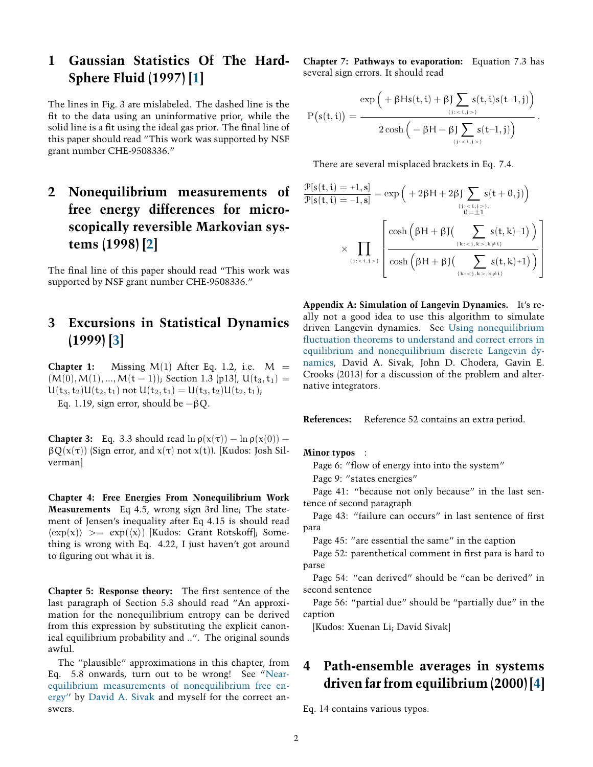### <span id="page-1-0"></span>**1 Gaussian Statistics Of The Hard-Sphere Fluid (1997)[[1](#page-0-0)]**

The lines in Fig. 3 are mislabeled. The dashed line is the fit to the data using an uninformative prior, while the solid line is a fit using the ideal gas prior. The final line of this paper should read "This work was supported by NSF grant number CHE-9508336."

## **2 Nonequilibrium measurements of free energy differences for microscopically reversible Markovian systems (1998) [\[2\]](#page-0-1)**

The final line of this paper should read "This work was supported by NSF grant number CHE-9508336."

#### **3 Excursions in Statistical Dynamics (1999) [\[3\]](#page-0-2)**

**Chapter 1:** Missing  $M(1)$  After Eq. 1.2, i.e.  $M =$  $(M(0), M(1), ..., M(t-1))$ ; Section 1.3 (p13), U(t<sub>3</sub>, t<sub>1</sub>) =  $U(t_3, t_2)U(t_2, t_1)$  not  $U(t_2, t_1) = U(t_3, t_2)U(t_2, t_1)$ ;

Eq. 1.19, sign error, should be  $-\beta Q$ .

**Chapter 3:** Eq. 3.3 should read  $\ln \rho(x(\tau)) - \ln \rho(x(0))$  −  $\beta Q(x(\tau))$  (Sign error, and  $x(\tau)$  not  $x(t)$ ). [Kudos: Josh Silverman]

**Chapter 4: Free Energies From Nonequilibrium Work Measurements** Eq 4.5, wrong sign 3rd line; The statement of Jensen's inequality after Eq 4.15 is should read *⟨*exp(x)*⟩* >= exp(*⟨*x*⟩*) [Kudos: Grant Rotskoff]; Something is wrong with Eq. 4.22, I just haven't got around to figuring out what it is.

**Chapter 5: Response theory:** The first sentence of the last paragraph of Section 5.3 should read "An approximation for the nonequilibrium entropy can be derived from this expression by substituting the explicit canonical equilibrium probability and ..". The original sounds awful.

The "plausible" approximations in this chapter, from Eq. 5.8 onwards, turn out to be wrong! See ["Near](http://threeplusone.com/Sivak2012a)[equilibrium measurements of nonequilibrium free en](http://threeplusone.com/Sivak2012a)[ergy''](http://threeplusone.com/Sivak2012a) by [David A. Sivak](http://threeplusone.com/Sivak) and myself for the correct answers.

**Chapter 7: Pathways to evaporation:** Equation 7.3 has several sign errors. It should read

$$
P\big(s(t,i)\big)=\frac{\exp\Big( +\beta H s(t,i) +\beta J \sum\limits_{\{j\,:\, <\, i,j>\}} s(t,i) s(t-1,j)\Big)}{2\cosh\Big(-\beta H -\beta J \sum\limits_{\{j\,:\, <\, i,j>\}} s(t-1,j)\Big)}\,.
$$

There are several misplaced brackets in Eq. 7.4.

$$
\frac{\mathcal{P}[s(t,i) = +1, s]}{\mathcal{P}[s(t,i) = -1, s]} = \exp\left(+2\beta H + 2\beta J \sum_{\{j_1 < i, j > \}, \atop \theta = \pm 1} s(t + \theta, j)\right)
$$
\n
$$
\times \prod_{\{j_1 < i, j > \}} \left[ \frac{\cosh\left(\beta H + \beta J\left(\sum_{\{k_i < j, k > , k \neq i\}} s(t, k) - 1\right)\right)}{\cosh\left(\beta H + \beta J\left(\sum_{\{k_i < j, k > , k \neq i\}} s(t, k) + 1\right)\right)} \right]
$$

**Appendix A: Simulation of Langevin Dynamics.** It's really not a good idea to use this algorithm to simulate driven Langevin dynamics. See [Using nonequilibrium](http://threeplusone.com/Sivak2013a) fluctuation theorems to understand and correct errors in [equilibrium and nonequilibrium discrete Langevin dy](http://threeplusone.com/Sivak2013a)[namics,](http://threeplusone.com/Sivak2013a) David A. Sivak, John D. Chodera, Gavin E. Crooks (2013) for a discussion of the problem and alternative integrators.

**References:** Reference 52 contains an extra period.

#### **Minor typos** :

Page 6: "flow of energy into into the system"

Page 9: "states energies"

Page 41: "because not only because" in the last sentence of second paragraph

Page 43: "failure can occurs" in last sentence of first para

Page 45: "are essential the same" in the caption

Page 52: parenthetical comment in first para is hard to parse

Page 54: "can derived" should be "can be derived" in second sentence

Page 56: "partial due" should be "partially due" in the caption

[Kudos: Xuenan Li; David Sivak]

#### **4 Path-ensemble averages in systems driven far from equilibrium (2000) [\[4\]](#page-0-3)**

Eq. 14 contains various typos.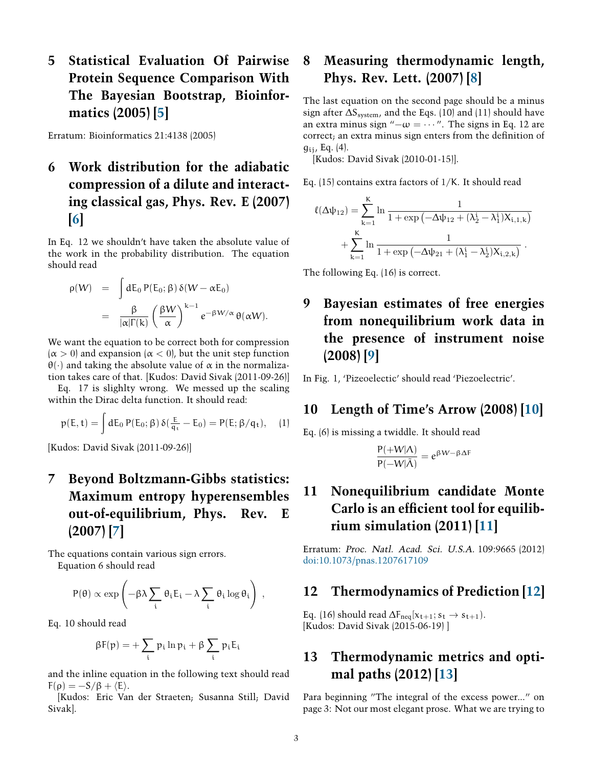# <span id="page-2-0"></span>**5 Statistical Evaluation Of Pairwise Protein Sequence Comparison With The Bayesian Bootstrap, Bioinformatics (2005) [\[5](#page-0-4)]**

Erratum: Bioinformatics 21:4138 (2005)

# **6 Work distribution for the adiabatic compression of a dilute and interacting classical gas, Phys. Rev. E (2007) [[6](#page-0-5)]**

In Eq. 12 we shouldn't have taken the absolute value of the work in the probability distribution. The equation should read

$$
\rho(W) = \int dE_0 P(E_0; \beta) \delta(W - \alpha E_0)
$$
  
= 
$$
\frac{\beta}{|\alpha| \Gamma(k)} \left(\frac{\beta W}{\alpha}\right)^{k-1} e^{-\beta W/\alpha} \theta(\alpha W).
$$

We want the equation to be correct both for compression  $(\alpha > 0)$  and expansion  $(\alpha < 0)$ , but the unit step function  $\theta(\cdot)$  and taking the absolute value of  $\alpha$  in the normalization takes care of that. [Kudos: David Sivak (2011-09-26)]

Eq. 17 is slighlty wrong. We messed up the scaling within the Dirac delta function. It should read:

$$
p(E,t)=\int dE_0\,P(E_0;\beta)\,\delta(\tfrac{E}{q_{\mathfrak{t}}}-E_0)=P(E;\beta/q_{\mathfrak{t}}),\quad (1)
$$

[Kudos: David Sivak (2011-09-26)]

## **7 Beyond Boltzmann-Gibbs statistics: Maximum entropy hyperensembles out-of-equilibrium, Phys. Rev. E (2007) [\[7\]](#page-0-6)**

The equations contain various sign errors. Equation 6 should read

$$
P(\theta) \propto \exp\left(-\beta \lambda \sum_i \theta_i E_i - \lambda \sum_i \theta_i \log \theta_i\right)\,,
$$

Eq. 10 should read

$$
\beta F(p) = + \sum_i \, p_i \ln p_i + \beta \sum_i p_i E_i
$$

and the inline equation in the following text should read  $F(\rho) = -S/\beta + \langle E \rangle$ .

[Kudos: Eric Van der Straeten; Susanna Still; David Sivak].

## **8 Measuring thermodynamic length, Phys. Rev. Lett. (2007)[[8](#page-0-7)]**

The last equation on the second page should be a minus sign after  $\Delta S_{\text{system}}$ , and the Eqs. (10) and (11) should have an extra minus sign " $-\omega = \cdots$ ". The signs in Eq. 12 are correct; an extra minus sign enters from the definition of  $g_{ij}$ , Eq. (4).

[Kudos: David Sivak (2010-01-15)].

Eq. (15) contains extra factors of 1/K. It should read

$$
\ell(\Delta \psi_{12}) = \sum_{k=1}^{K} \ln \frac{1}{1 + \exp(-\Delta \psi_{12} + (\lambda_2^i - \lambda_1^i) X_{i,1,k})} + \sum_{k=1}^{K} \ln \frac{1}{1 + \exp(-\Delta \psi_{21} + (\lambda_1^i - \lambda_2^i) X_{i,2,k})}.
$$

The following Eq. (16) is correct.

# **9 Bayesian estimates of free energies from nonequilibrium work data in the presence of instrument noise (2008)[[9](#page-0-8)]**

In Fig. 1, 'Pizeoelectic' should read 'Piezoelectric'.

#### **10 Length of Time's Arrow (2008)[[10\]](#page-0-9)**

Eq. (6) is missing a twiddle. It should read

$$
\frac{P(+W|\Lambda)}{P(-W|\tilde{\Lambda})} = e^{\beta W - \beta \Delta F}
$$

# **11 Nonequilibrium candidate Monte Carlo is an efàcient tool for equilibrium simulation (2011)[[11\]](#page-0-10)**

Erratum: Proc. Natl. Acad. Sci. U.S.A. 109:9665 (2012) [doi:10.1073/pnas.1207617109](http://dx.doi.org/10.1073/pnas.1207617109)

#### **12 Thermodynamics of Prediction [\[12\]](#page-0-11)**

Eq. (16) should read  $\Delta F_{\text{neg}}[x_{t+1}; s_t \rightarrow s_{t+1})$ . [Kudos: David Sivak (2015-06-19) ]

#### **13 Thermodynamic metrics and optimal paths (2012) [\[13](#page-0-12)]**

Para beginning "The integral of the excess power..." on page 3: Not our most elegant prose. What we are trying to